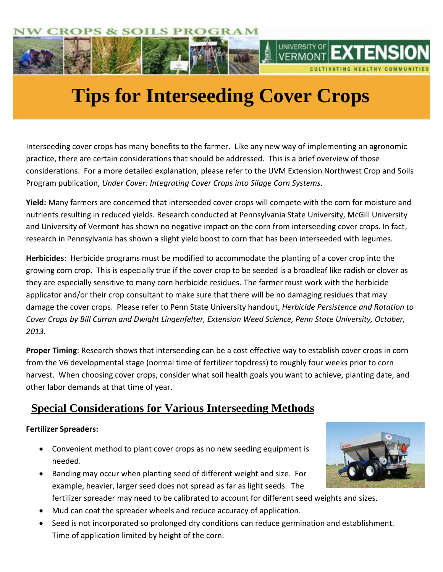

# **Tips for Interseeding Cover Crops**

**Considerations**

Interseeding cover crops has many benefits to the farmer. Like any new way of implementing an agronomic practice, there are certain considerations that should be addressed. This is a brief overview of those considerations. For a more detailed explanation, please refer to the UVM Extension Northwest Crop and Soils Program publication, *Under Cover: Integrating Cover Crops into Silage Corn Systems*.

**Yield:** Many farmers are concerned that interseeded cover crops will compete with the corn for moisture and nutrients resulting in reduced yields. Research conducted at Pennsylvania State University, McGill University and University of Vermont has shown no negative impact on the corn from interseeding cover crops. In fact, research in Pennsylvania has shown a slight yield boost to corn that has been interseeded with legumes.

**Herbicides**: Herbicide programs must be modified to accommodate the planting of a cover crop into the growing corn crop. This is especially true if the cover crop to be seeded is a broadleaf like radish or clover as they are especially sensitive to many corn herbicide residues. The farmer must work with the herbicide applicator and/or their crop consultant to make sure that there will be no damaging residues that may damage the cover crops. Please refer to Penn State University handout, *Herbicide Persistence and Rotation to Cover Crops by Bill Curran and Dwight Lingenfelter, Extension Weed Science, Penn State University, October, 2013.*

**Proper Timing**: Research shows that interseeding can be a cost effective way to establish cover crops in corn from the V6 developmental stage (normal time of fertilizer topdress) to roughly four weeks prior to corn harvest. When choosing cover crops, consider what soil health goals you want to achieve, planting date, and other labor demands at that time of year.

# **Special Considerations for Various Interseeding Methods**

## **Fertilizer Spreaders:**

- Convenient method to plant cover crops as no new seeding equipment is needed.
- Banding may occur when planting seed of different weight and size. For example, heavier, larger seed does not spread as far as light seeds. The fertilizer spreader may need to be calibrated to account for different seed weights and sizes.
- Mud can coat the spreader wheels and reduce accuracy of application.
- Seed is not incorporated so prolonged dry conditions can reduce germination and establishment. Time of application limited by height of the corn.